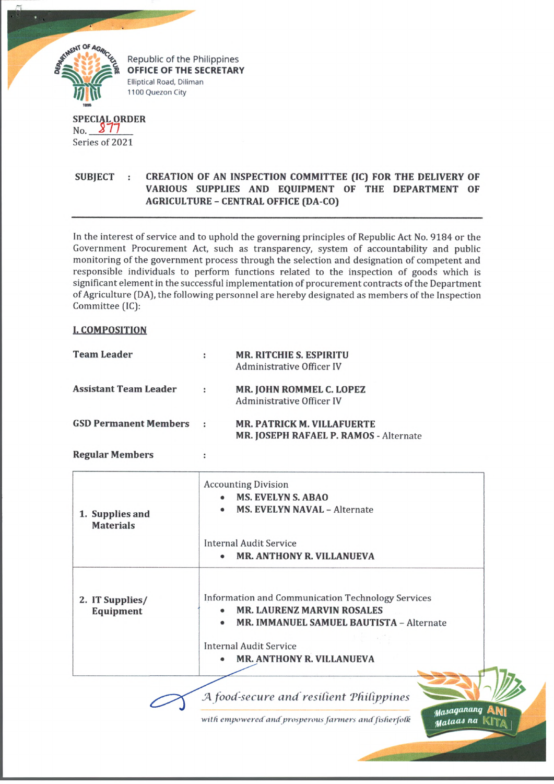

Republic of the Philippines **OFFICE OF THE SECRETARY** Elliptical Road, Diliman 1100 Quezon City

**SPECIAL ORDER**  $No.$ Series of 2021

## SUBJECT : CREATION OF AN INSPECTION COMMITTEE (IC) FOR THE DELIVERY OF **VARIOUS SUPPLIES AND EQUIPMENT OF THE DEPARTMENT OF AGRICULTURE - CENTRAL OFFICE (DA-CO)**

In the interest of service and to uphold the governing principles of Republic Act No. 9184 or the Government Procurement Act, such as transparency, system of accountability and public monitoring of the government process through the selection and designation of competent and responsible individuals to perform functions related to the inspection of goods which is significant element in the successful implementation of procurement contracts of the Department of Agriculture (DA), the following personnel are hereby designated as members of the Inspection Committee (IC):

## L COMPOSITION

| <b>Team Leader</b>           | ٠ | <b>MR. RITCHIE S. ESPIRITU</b><br>Administrative Officer IV                 |
|------------------------------|---|-----------------------------------------------------------------------------|
| <b>Assistant Team Leader</b> | ÷ | <b>MR. JOHN ROMMEL C. LOPEZ</b><br>Administrative Officer IV                |
| <b>GSD Permanent Members</b> |   | <b>MR. PATRICK M. VILLAFUERTE</b><br>MR. JOSEPH RAFAEL P. RAMOS - Alternate |

**Regular Members :**

| 1. Supplies and<br><b>Materials</b> | <b>Accounting Division</b><br><b>MS. EVELYN S. ABAO</b><br><b>MS. EVELYN NAVAL - Alternate</b>                                                                                          |  |
|-------------------------------------|-----------------------------------------------------------------------------------------------------------------------------------------------------------------------------------------|--|
|                                     | <b>Internal Audit Service</b>                                                                                                                                                           |  |
|                                     | <b>MR. ANTHONY R. VILLANUEVA</b><br>$\bullet$                                                                                                                                           |  |
| 2. IT Supplies/<br>Equipment        | <b>Information and Communication Technology Services</b><br><b>MR. LAURENZ MARVIN ROSALES</b><br>MR. IMMANUEL SAMUEL BAUTISTA - Alternate<br>$\bullet$<br><b>Internal Audit Service</b> |  |
|                                     | <b>MR. ANTHONY R. VILLANUEVA</b>                                                                                                                                                        |  |
|                                     |                                                                                                                                                                                         |  |

 $A$  food-secure and resilient Philippines

with empowered and prosperous farmers and fisherfolk

*tfaia<)ananQ* ANi  $<sub>Wal</sub> a<sub>las</sub> na$ </sub>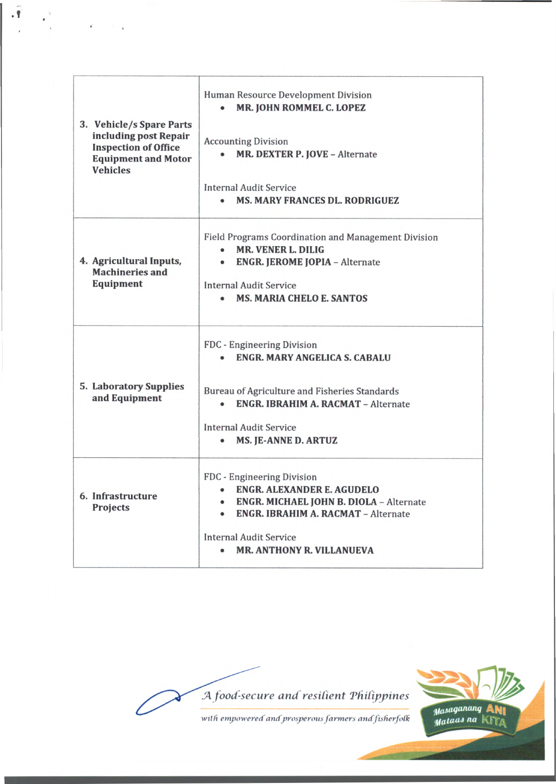| 3. Vehicle/s Spare Parts<br>including post Repair<br><b>Inspection of Office</b><br><b>Equipment and Motor</b><br><b>Vehicles</b> | Human Resource Development Division<br>MR. JOHN ROMMEL C. LOPEZ<br><b>Accounting Division</b><br>MR. DEXTER P. JOVE - Alternate<br><b>Internal Audit Service</b>                                                                          |
|-----------------------------------------------------------------------------------------------------------------------------------|-------------------------------------------------------------------------------------------------------------------------------------------------------------------------------------------------------------------------------------------|
|                                                                                                                                   | <b>MS. MARY FRANCES DL. RODRIGUEZ</b>                                                                                                                                                                                                     |
| 4. Agricultural Inputs,<br><b>Machineries and</b><br>Equipment                                                                    | Field Programs Coordination and Management Division<br><b>MR. VENER L. DILIG</b><br><b>ENGR. JEROME JOPIA - Alternate</b><br><b>Internal Audit Service</b><br><b>MS. MARIA CHELO E. SANTOS</b>                                            |
| 5. Laboratory Supplies<br>and Equipment                                                                                           | FDC - Engineering Division<br><b>ENGR. MARY ANGELICA S. CABALU</b><br>Bureau of Agriculture and Fisheries Standards<br><b>ENGR. IBRAHIM A. RACMAT - Alternate</b><br>٠<br><b>Internal Audit Service</b><br><b>MS. JE-ANNE D. ARTUZ</b>    |
| 6. Infrastructure<br>Projects                                                                                                     | FDC - Engineering Division<br><b>ENGR. ALEXANDER E. AGUDELO</b><br><b>ENGR. MICHAEL JOHN B. DIOLA - Alternate</b><br><b>ENGR. IBRAHIM A. RACMAT - Alternate</b><br><b>Internal Audit Service</b><br><b>MR. ANTHONY R. VILLANUEVA</b><br>٠ |

**f**

.

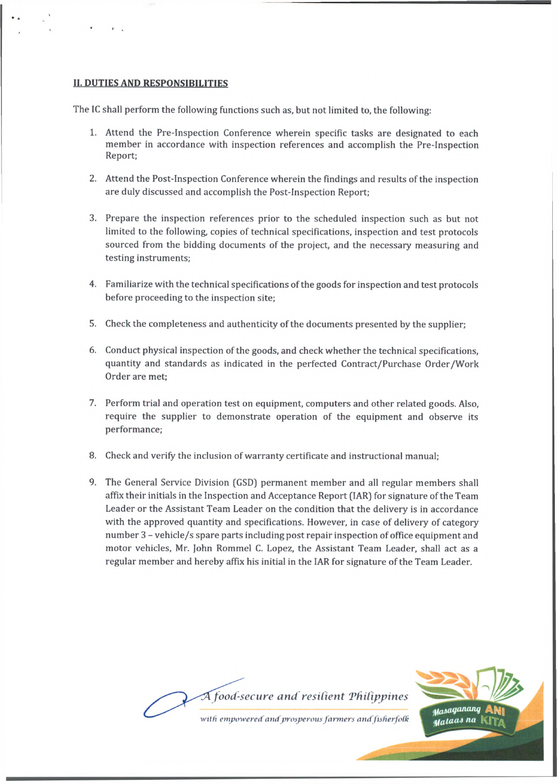## **II. DUTIES AND RESPONSIBILITIES**

The IC shall perform the following functions such as, but not limited to, the following:

- 1. Attend the Pre-Inspection Conference wherein specific tasks are designated to each member in accordance with inspection references and accomplish the Pre-Inspection Report;
- 2. Attend the Post-Inspection Conference wherein the findings and results of the inspection are duly discussed and accomplish the Post-Inspection Report;
- 3. Prepare the inspection references prior to the scheduled inspection such as but not limited to the following, copies of technical specifications, inspection and test protocols sourced from the bidding documents of the project, and the necessary measuring and testing instruments;
- 4. Familiarize with the technical specifications of the goods for inspection and test protocols before proceeding to the inspection site;
- 5. Check the completeness and authenticity of the documents presented by the supplier;
- 6. Conduct physical inspection of the goods, and check whether the technical specifications, quantity and standards as indicated in the perfected Contract/Purchase Order/Work Order are met;
- 7. Perform trial and operation test on equipment, computers and other related goods. Also, require the supplier to demonstrate operation of the equipment and observe its performance;
- 8. Check and verify the inclusion of warranty certificate and instructional manual;
- 9. The General Service Division (GSD) permanent member and all regular members shall affix their initials in the Inspection and Acceptance Report (IAR) for signature of the Team Leader or the Assistant Team Leader on the condition that the delivery is in accordance with the approved quantity and specifications. However, in case of delivery of category number 3 - vehicle/s spare parts including post repair inspection of office equipment and motor vehicles, Mr. John Rommel C. Lopez, the Assistant Team Leader, shall act as a regular member and hereby affix his initial in the IAR for signature of the Team Leader.